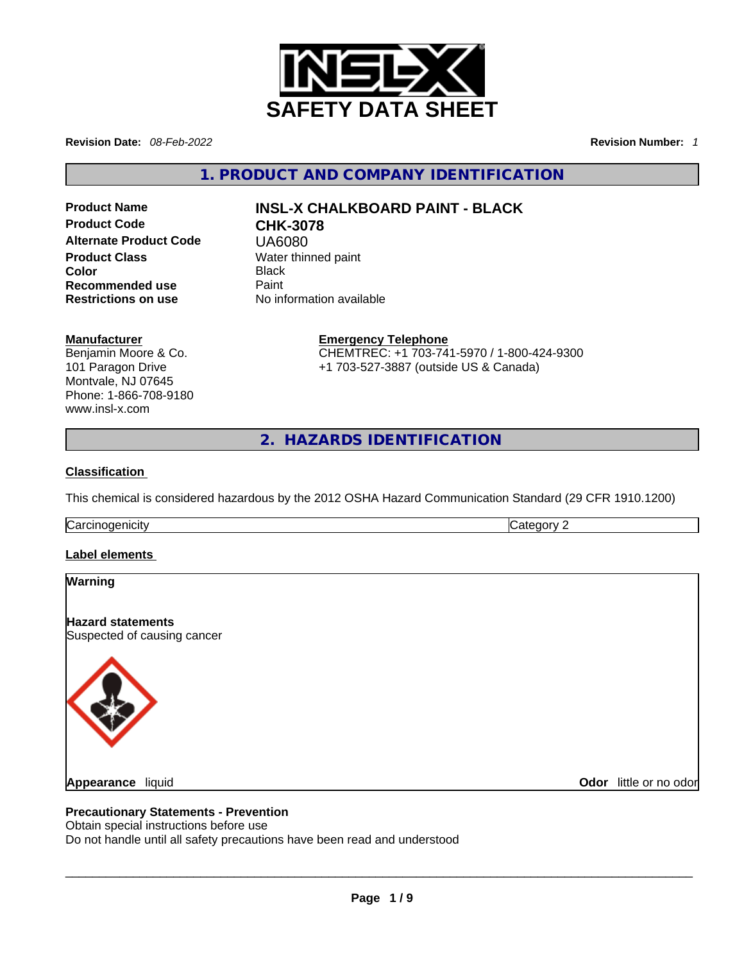

**Revision Date:** *08-Feb-2022* **Revision Number:** *1*

**1. PRODUCT AND COMPANY IDENTIFICATION** 

**Alternate Product Code** UA6080 **Product Class Water thinned paint Color** Black **Recommended use Paint Restrictions on use** No information available

# **Product Name INSL-X CHALKBOARD PAINT - BLACK Product Code CHK-3078**

#### **Manufacturer**

Benjamin Moore & Co. 101 Paragon Drive Montvale, NJ 07645 Phone: 1-866-708-9180 www.insl-x.com

**Emergency Telephone** CHEMTREC: +1 703-741-5970 / 1-800-424-9300 +1 703-527-3887 (outside US & Canada)

**2. HAZARDS IDENTIFICATION** 

## **Classification**

This chemical is considered hazardous by the 2012 OSHA Hazard Communication Standard (29 CFR 1910.1200)

Carcinogenicity **Category 2** 

# **Label elements**

| Warning                                                                  |                        |
|--------------------------------------------------------------------------|------------------------|
| <b>Hazard statements</b>                                                 |                        |
| Suspected of causing cancer                                              |                        |
|                                                                          |                        |
|                                                                          |                        |
|                                                                          |                        |
|                                                                          |                        |
|                                                                          |                        |
| <b>Appearance liquid</b>                                                 | Odor little or no odor |
|                                                                          |                        |
| <b>Precautionary Statements - Prevention</b>                             |                        |
| Obtain special instructions before use                                   |                        |
| Do not handle until all safety precautions have been read and understood |                        |
|                                                                          |                        |
|                                                                          |                        |

## **Precautionary Statements - Prevention**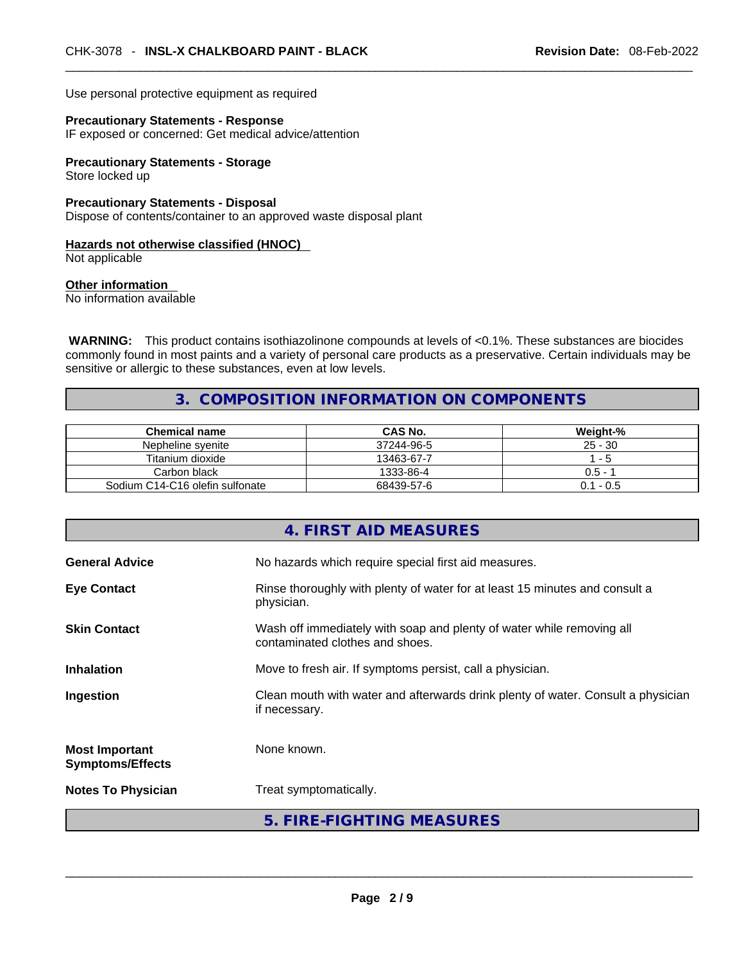Use personal protective equipment as required

# **Precautionary Statements - Response**

IF exposed or concerned: Get medical advice/attention

**Precautionary Statements - Storage** Store locked up

**Precautionary Statements - Disposal** Dispose of contents/container to an approved waste disposal plant

# **Hazards not otherwise classified (HNOC)**

Not applicable

**Other information** 

No information available

**WARNING:** This product contains isothiazolinone compounds at levels of <0.1%. These substances are biocides commonly found in most paints and a variety of personal care products as a preservative. Certain individuals may be sensitive or allergic to these substances, even at low levels.

# **3. COMPOSITION INFORMATION ON COMPONENTS**

| <b>Chemical name</b>            | CAS No.    | Weight-%    |
|---------------------------------|------------|-------------|
| Nepheline syenite               | 37244-96-5 | $25 - 30$   |
| Titanium dioxide                | 13463-67-7 | - 5         |
| Carbon black                    | 1333-86-4  | $0.5 - 1$   |
| Sodium C14-C16 olefin sulfonate | 68439-57-6 | $0.1 - 0.5$ |

|                                                  | 4. FIRST AID MEASURES                                                                                    |
|--------------------------------------------------|----------------------------------------------------------------------------------------------------------|
| <b>General Advice</b>                            | No hazards which require special first aid measures.                                                     |
| <b>Eye Contact</b>                               | Rinse thoroughly with plenty of water for at least 15 minutes and consult a<br>physician.                |
| <b>Skin Contact</b>                              | Wash off immediately with soap and plenty of water while removing all<br>contaminated clothes and shoes. |
| <b>Inhalation</b>                                | Move to fresh air. If symptoms persist, call a physician.                                                |
| Ingestion                                        | Clean mouth with water and afterwards drink plenty of water. Consult a physician<br>if necessary.        |
| <b>Most Important</b><br><b>Symptoms/Effects</b> | None known.                                                                                              |
| <b>Notes To Physician</b>                        | Treat symptomatically.                                                                                   |
|                                                  | 5. FIRE-FIGHTING MEASURES                                                                                |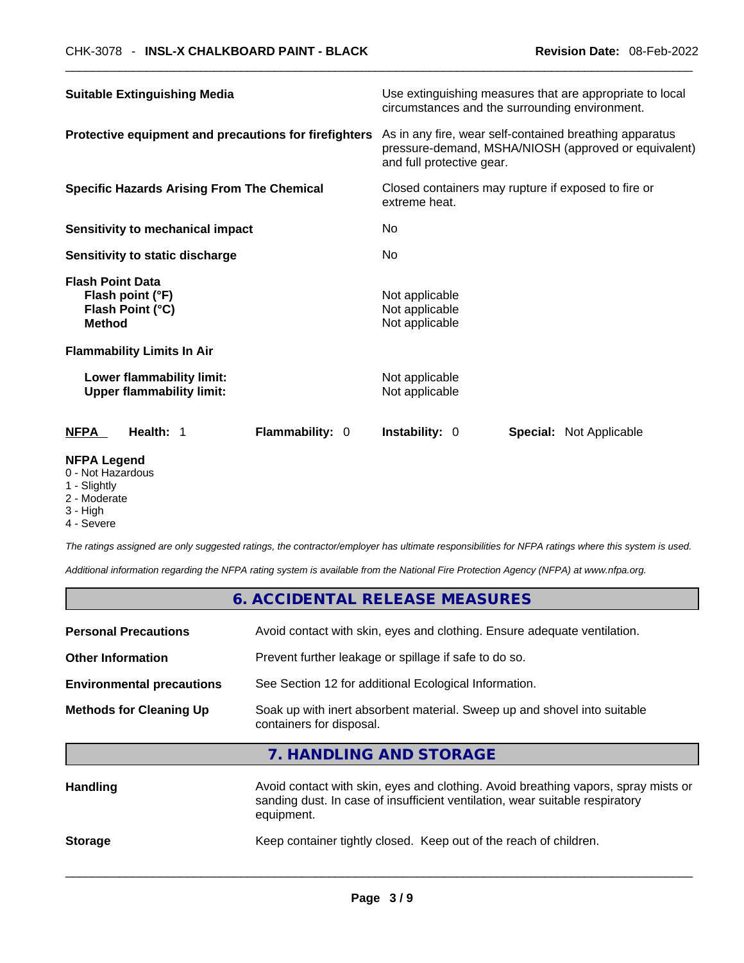| <b>Suitable Extinguishing Media</b>                                              | Use extinguishing measures that are appropriate to local<br>circumstances and the surrounding environment.                                   |
|----------------------------------------------------------------------------------|----------------------------------------------------------------------------------------------------------------------------------------------|
| Protective equipment and precautions for firefighters                            | As in any fire, wear self-contained breathing apparatus<br>pressure-demand, MSHA/NIOSH (approved or equivalent)<br>and full protective gear. |
| <b>Specific Hazards Arising From The Chemical</b>                                | Closed containers may rupture if exposed to fire or<br>extreme heat.                                                                         |
| Sensitivity to mechanical impact                                                 | No.                                                                                                                                          |
| Sensitivity to static discharge                                                  | No.                                                                                                                                          |
| <b>Flash Point Data</b><br>Flash point (°F)<br>Flash Point (°C)<br><b>Method</b> | Not applicable<br>Not applicable<br>Not applicable                                                                                           |
| <b>Flammability Limits In Air</b>                                                |                                                                                                                                              |
| Lower flammability limit:<br><b>Upper flammability limit:</b>                    | Not applicable<br>Not applicable                                                                                                             |
| <b>NFPA</b><br>Health: 1<br><b>Flammability: 0</b>                               | <b>Instability: 0</b><br><b>Special: Not Applicable</b>                                                                                      |
|                                                                                  |                                                                                                                                              |

## **NFPA Legend**

- 0 Not Hazardous
- 1 Slightly
- 2 Moderate
- 3 High
- 4 Severe

*The ratings assigned are only suggested ratings, the contractor/employer has ultimate responsibilities for NFPA ratings where this system is used.* 

*Additional information regarding the NFPA rating system is available from the National Fire Protection Agency (NFPA) at www.nfpa.org.* 

|                                                                                                                                        | 6. ACCIDENTAL RELEASE MEASURES                                                                                                                                                   |
|----------------------------------------------------------------------------------------------------------------------------------------|----------------------------------------------------------------------------------------------------------------------------------------------------------------------------------|
| <b>Personal Precautions</b>                                                                                                            | Avoid contact with skin, eyes and clothing. Ensure adequate ventilation.                                                                                                         |
| <b>Other Information</b>                                                                                                               | Prevent further leakage or spillage if safe to do so.                                                                                                                            |
| <b>Environmental precautions</b>                                                                                                       | See Section 12 for additional Ecological Information.                                                                                                                            |
| Soak up with inert absorbent material. Sweep up and shovel into suitable<br><b>Methods for Cleaning Up</b><br>containers for disposal. |                                                                                                                                                                                  |
|                                                                                                                                        | 7. HANDLING AND STORAGE                                                                                                                                                          |
| <b>Handling</b>                                                                                                                        | Avoid contact with skin, eyes and clothing. Avoid breathing vapors, spray mists or<br>sanding dust. In case of insufficient ventilation, wear suitable respiratory<br>equipment. |
| <b>Storage</b>                                                                                                                         | Keep container tightly closed. Keep out of the reach of children.                                                                                                                |
|                                                                                                                                        |                                                                                                                                                                                  |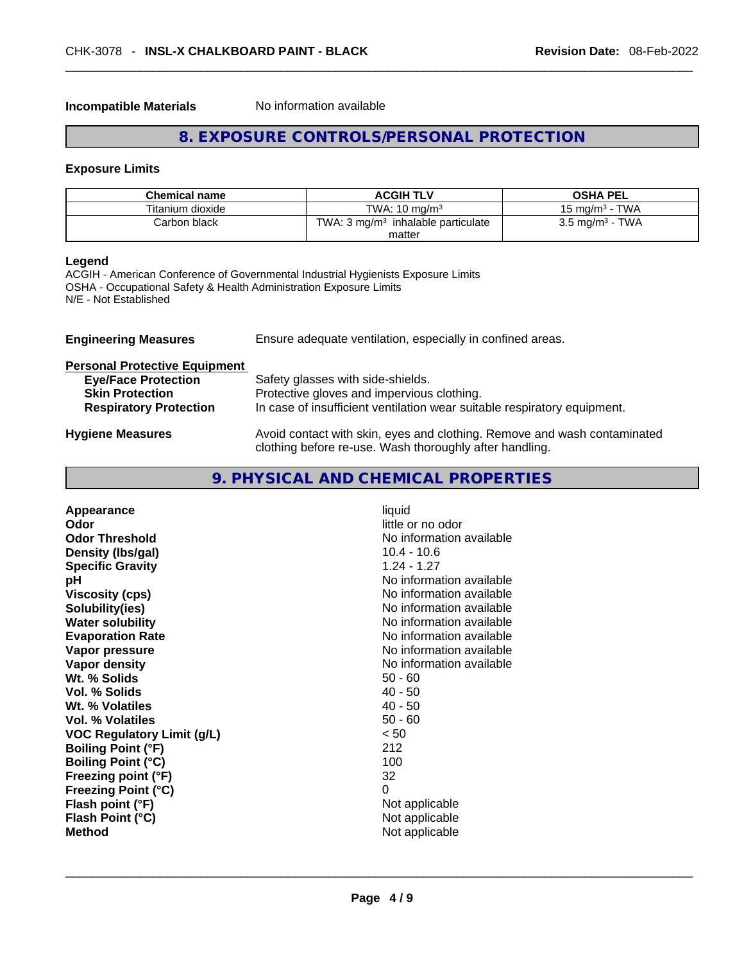#### **Incompatible Materials** No information available

# **8. EXPOSURE CONTROLS/PERSONAL PROTECTION**

## **Exposure Limits**

| <b>Chemical name</b> | <b>ACGIH TLV</b>                              | <b>OSHA PEL</b>            |
|----------------------|-----------------------------------------------|----------------------------|
| Titanium dioxide     | TWA: $10 \text{ ma/m}^3$                      | 15 mg/m $3$ - TWA          |
| Carbon black         | TWA: $3 \text{ mg/m}^3$ inhalable particulate | $3.5 \text{ mg/m}^3$ - TWA |
|                      | matter                                        |                            |

# **Legend**

ACGIH - American Conference of Governmental Industrial Hygienists Exposure Limits OSHA - Occupational Safety & Health Administration Exposure Limits N/E - Not Established

| <b>Engineering Measures</b>          | Ensure adequate ventilation, especially in confined areas.                                                                          |
|--------------------------------------|-------------------------------------------------------------------------------------------------------------------------------------|
| <b>Personal Protective Equipment</b> |                                                                                                                                     |
| <b>Eye/Face Protection</b>           | Safety glasses with side-shields.                                                                                                   |
| <b>Skin Protection</b>               | Protective gloves and impervious clothing.                                                                                          |
| <b>Respiratory Protection</b>        | In case of insufficient ventilation wear suitable respiratory equipment.                                                            |
| <b>Hygiene Measures</b>              | Avoid contact with skin, eyes and clothing. Remove and wash contaminated<br>clothing before re-use. Wash thoroughly after handling. |

| Appearance<br>Odor<br><b>Odor Threshold</b><br>Density (Ibs/gal)<br><b>Specific Gravity</b><br>рH<br><b>Viscosity (cps)</b><br>Solubility(ies)<br><b>Water solubility</b><br><b>Evaporation Rate</b><br>Vapor pressure<br>Vapor density<br>Wt. % Solids<br>Vol. % Solids<br>Wt. % Volatiles<br>Vol. % Volatiles<br><b>VOC Regulatory Limit (g/L)</b><br><b>Boiling Point (°F)</b><br><b>Boiling Point (°C)</b><br>Freezing point (°F)<br>Freezing Point (°C)<br>Flash point (°F)<br>Flash Point (°C)<br><b>Method</b> | liquid<br>little or no odor<br>No information available<br>$10.4 - 10.6$<br>$1.24 - 1.27$<br>No information available<br>No information available<br>No information available<br>No information available<br>No information available<br>No information available<br>No information available<br>$50 - 60$<br>$40 - 50$<br>$40 - 50$<br>$50 - 60$<br>< 50<br>212<br>100<br>32<br>0<br>Not applicable<br>Not applicable<br>Not applicable |  |
|-----------------------------------------------------------------------------------------------------------------------------------------------------------------------------------------------------------------------------------------------------------------------------------------------------------------------------------------------------------------------------------------------------------------------------------------------------------------------------------------------------------------------|------------------------------------------------------------------------------------------------------------------------------------------------------------------------------------------------------------------------------------------------------------------------------------------------------------------------------------------------------------------------------------------------------------------------------------------|--|
|-----------------------------------------------------------------------------------------------------------------------------------------------------------------------------------------------------------------------------------------------------------------------------------------------------------------------------------------------------------------------------------------------------------------------------------------------------------------------------------------------------------------------|------------------------------------------------------------------------------------------------------------------------------------------------------------------------------------------------------------------------------------------------------------------------------------------------------------------------------------------------------------------------------------------------------------------------------------------|--|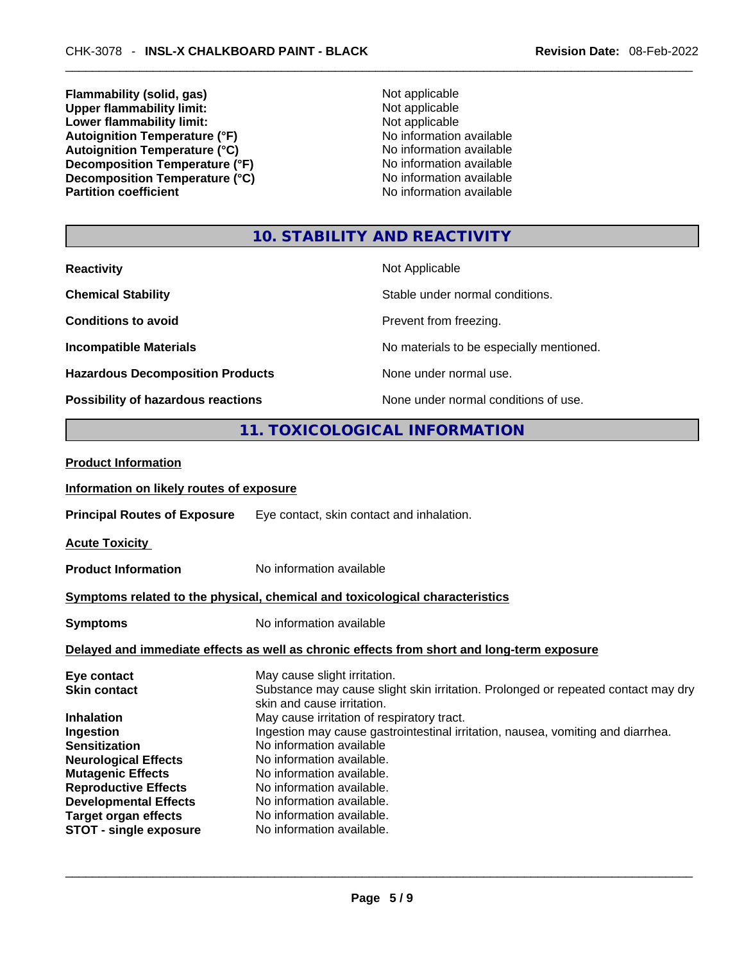**Flammability (solid, gas)**<br> **Commability limit:**<br>
Upper flammability limit:<br>
Not applicable **Upper flammability limit:**<br> **Lower flammability limit:**<br>
Not applicable<br>
Not applicable **Lower flammability limit:**<br> **Autoignition Temperature (°F)**<br>
Mo information available Autoignition **Temperature** (°F) <br>
Autoignition **Temperature** (°C) <br>
No information available **Autoignition Temperature (°C) Decomposition Temperature (°F)**<br> **Decomposition Temperature (°C)**<br>
No information available<br>
No information available **Decomposition Temperature (°C)**<br>Partition coefficient

**No information available** 

# **10. STABILITY AND REACTIVITY**

| <b>Reactivity</b>                         | Not Applicable                           |
|-------------------------------------------|------------------------------------------|
| <b>Chemical Stability</b>                 | Stable under normal conditions.          |
| <b>Conditions to avoid</b>                | Prevent from freezing.                   |
| <b>Incompatible Materials</b>             | No materials to be especially mentioned. |
| <b>Hazardous Decomposition Products</b>   | None under normal use.                   |
| <b>Possibility of hazardous reactions</b> | None under normal conditions of use.     |

# **11. TOXICOLOGICAL INFORMATION**

| <b>Product Information</b>                                                                                                                                                                                                                                                             |                                                                                                                                                                                                                                                                                                                                                                                                                                                                                            |  |
|----------------------------------------------------------------------------------------------------------------------------------------------------------------------------------------------------------------------------------------------------------------------------------------|--------------------------------------------------------------------------------------------------------------------------------------------------------------------------------------------------------------------------------------------------------------------------------------------------------------------------------------------------------------------------------------------------------------------------------------------------------------------------------------------|--|
| Information on likely routes of exposure                                                                                                                                                                                                                                               |                                                                                                                                                                                                                                                                                                                                                                                                                                                                                            |  |
| <b>Principal Routes of Exposure</b>                                                                                                                                                                                                                                                    | Eye contact, skin contact and inhalation.                                                                                                                                                                                                                                                                                                                                                                                                                                                  |  |
| <b>Acute Toxicity</b>                                                                                                                                                                                                                                                                  |                                                                                                                                                                                                                                                                                                                                                                                                                                                                                            |  |
| <b>Product Information</b>                                                                                                                                                                                                                                                             | No information available                                                                                                                                                                                                                                                                                                                                                                                                                                                                   |  |
| Symptoms related to the physical, chemical and toxicological characteristics                                                                                                                                                                                                           |                                                                                                                                                                                                                                                                                                                                                                                                                                                                                            |  |
| <b>Symptoms</b>                                                                                                                                                                                                                                                                        | No information available                                                                                                                                                                                                                                                                                                                                                                                                                                                                   |  |
|                                                                                                                                                                                                                                                                                        | Delayed and immediate effects as well as chronic effects from short and long-term exposure                                                                                                                                                                                                                                                                                                                                                                                                 |  |
| Eye contact<br><b>Skin contact</b><br><b>Inhalation</b><br>Ingestion<br><b>Sensitization</b><br><b>Neurological Effects</b><br><b>Mutagenic Effects</b><br><b>Reproductive Effects</b><br><b>Developmental Effects</b><br><b>Target organ effects</b><br><b>STOT - single exposure</b> | May cause slight irritation.<br>Substance may cause slight skin irritation. Prolonged or repeated contact may dry<br>skin and cause irritation.<br>May cause irritation of respiratory tract.<br>Ingestion may cause gastrointestinal irritation, nausea, vomiting and diarrhea.<br>No information available<br>No information available.<br>No information available.<br>No information available.<br>No information available.<br>No information available.<br>No information available. |  |
|                                                                                                                                                                                                                                                                                        |                                                                                                                                                                                                                                                                                                                                                                                                                                                                                            |  |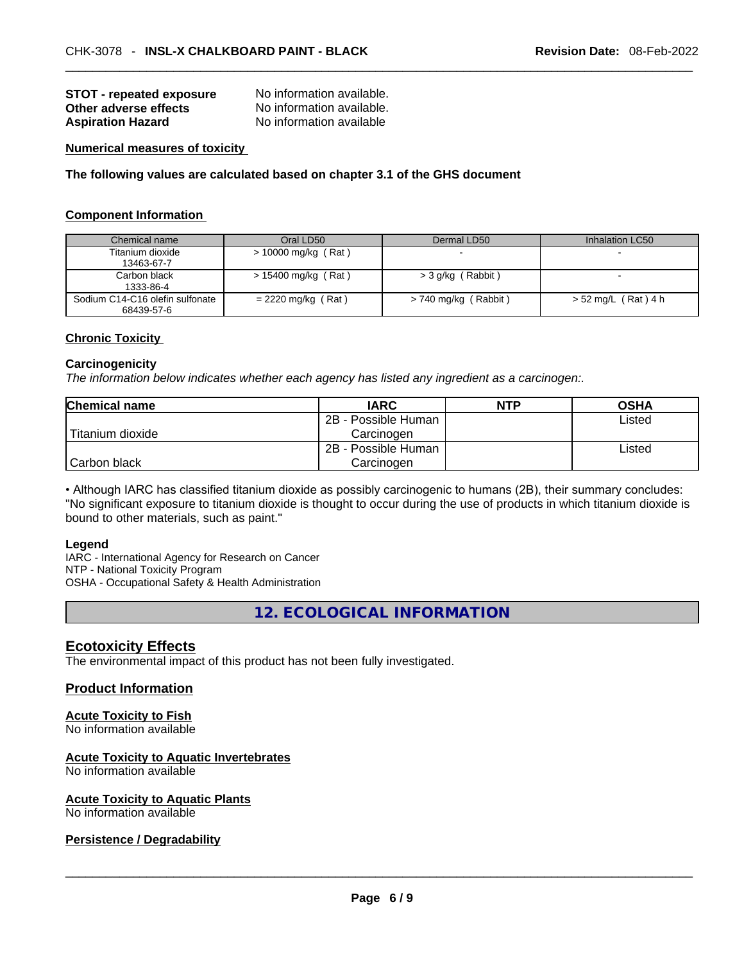| <b>STOT - repeated exposure</b> | No information available. |
|---------------------------------|---------------------------|
| Other adverse effects           | No information available. |
| <b>Aspiration Hazard</b>        | No information available  |

#### **Numerical measures of toxicity**

**The following values are calculated based on chapter 3.1 of the GHS document**

#### **Component Information**

| Chemical name                   | Oral LD50             | Dermal LD50              | Inhalation LC50     |
|---------------------------------|-----------------------|--------------------------|---------------------|
| Titanium dioxide                | $> 10000$ mg/kg (Rat) | $\overline{\phantom{0}}$ |                     |
| 13463-67-7                      |                       |                          |                     |
| Carbon black                    | $> 15400$ mg/kg (Rat) | > 3 g/kg (Rabbit)        |                     |
| 1333-86-4                       |                       |                          |                     |
| Sodium C14-C16 olefin sulfonate | $= 2220$ mg/kg (Rat)  | > 740 mg/kg (Rabbit)     | > 52 mg/L (Rat) 4 h |
| 68439-57-6                      |                       |                          |                     |

### **Chronic Toxicity**

#### **Carcinogenicity**

*The information below indicates whether each agency has listed any ingredient as a carcinogen:.* 

| <b>Chemical name</b> | <b>IARC</b>         | <b>NTP</b> | <b>OSHA</b> |
|----------------------|---------------------|------------|-------------|
|                      | 2B - Possible Human |            | Listed      |
| l Titanium dioxide   | Carcinogen          |            |             |
|                      | 2B - Possible Human |            | ∟isted      |
| l Carbon black       | Carcinogen          |            |             |

• Although IARC has classified titanium dioxide as possibly carcinogenic to humans (2B), their summary concludes: "No significant exposure to titanium dioxide is thought to occur during the use of products in which titanium dioxide is bound to other materials, such as paint."

#### **Legend**

IARC - International Agency for Research on Cancer NTP - National Toxicity Program OSHA - Occupational Safety & Health Administration

**12. ECOLOGICAL INFORMATION** 

## **Ecotoxicity Effects**

The environmental impact of this product has not been fully investigated.

# **Product Information**

# **Acute Toxicity to Fish**

No information available

# **Acute Toxicity to Aquatic Invertebrates**

No information available

#### **Acute Toxicity to Aquatic Plants**

# No information available \_\_\_\_\_\_\_\_\_\_\_\_\_\_\_\_\_\_\_\_\_\_\_\_\_\_\_\_\_\_\_\_\_\_\_\_\_\_\_\_\_\_\_\_\_\_\_\_\_\_\_\_\_\_\_\_\_\_\_\_\_\_\_\_\_\_\_\_\_\_\_\_\_\_\_\_\_\_\_\_\_\_\_\_\_\_\_\_\_\_\_\_\_ **Persistence / Degradability**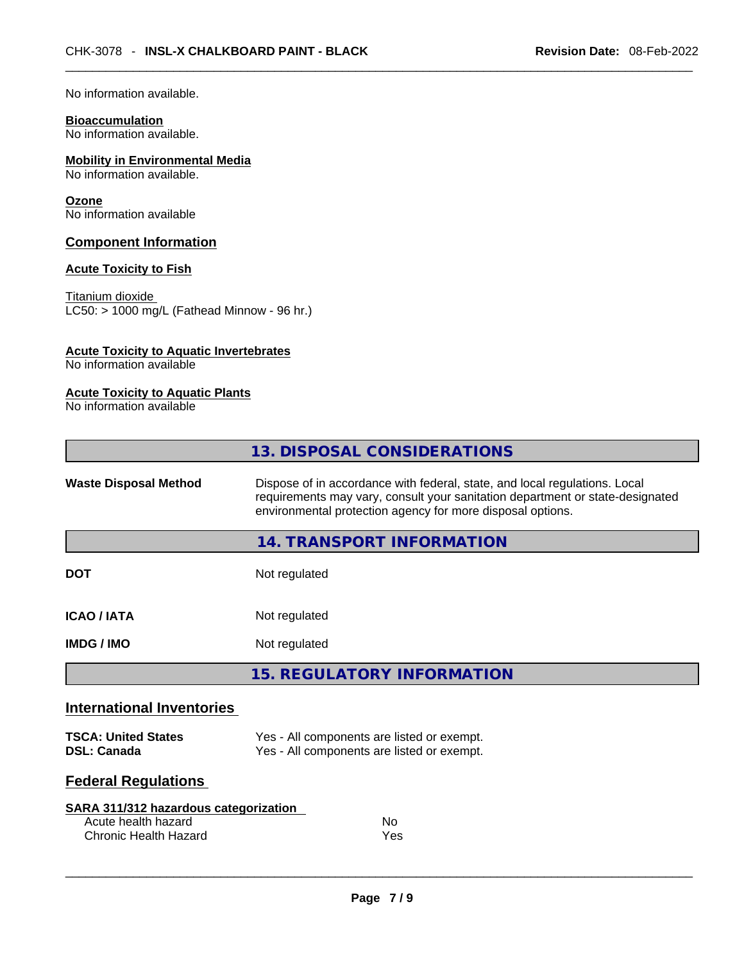No information available.

# **Bioaccumulation**

No information available.

# **Mobility in Environmental Media**

No information available.

# **Ozone**

No information available

# **Component Information**

# **Acute Toxicity to Fish**

Titanium dioxide  $\overline{\text{LC50:}}$  > 1000 mg/L (Fathead Minnow - 96 hr.)

# **Acute Toxicity to Aquatic Invertebrates**

No information available

## **Acute Toxicity to Aquatic Plants**

No information available

|                                  | 13. DISPOSAL CONSIDERATIONS                                                                                                                                                                                               |
|----------------------------------|---------------------------------------------------------------------------------------------------------------------------------------------------------------------------------------------------------------------------|
| <b>Waste Disposal Method</b>     | Dispose of in accordance with federal, state, and local regulations. Local<br>requirements may vary, consult your sanitation department or state-designated<br>environmental protection agency for more disposal options. |
|                                  | 14. TRANSPORT INFORMATION                                                                                                                                                                                                 |
| <b>DOT</b>                       | Not regulated                                                                                                                                                                                                             |
| <b>ICAO/IATA</b>                 | Not regulated                                                                                                                                                                                                             |
| <b>IMDG/IMO</b>                  | Not regulated                                                                                                                                                                                                             |
|                                  | <b>15. REGULATORY INFORMATION</b>                                                                                                                                                                                         |
| <b>International Inventories</b> |                                                                                                                                                                                                                           |

| <b>TSCA: United States</b> | Yes - All components are listed or exempt. |
|----------------------------|--------------------------------------------|
| <b>DSL: Canada</b>         | Yes - All components are listed or exempt. |

# **Federal Regulations**

| SARA 311/312 hazardous categorization |     |
|---------------------------------------|-----|
| Acute health hazard                   | Nο  |
| Chronic Health Hazard                 | Yes |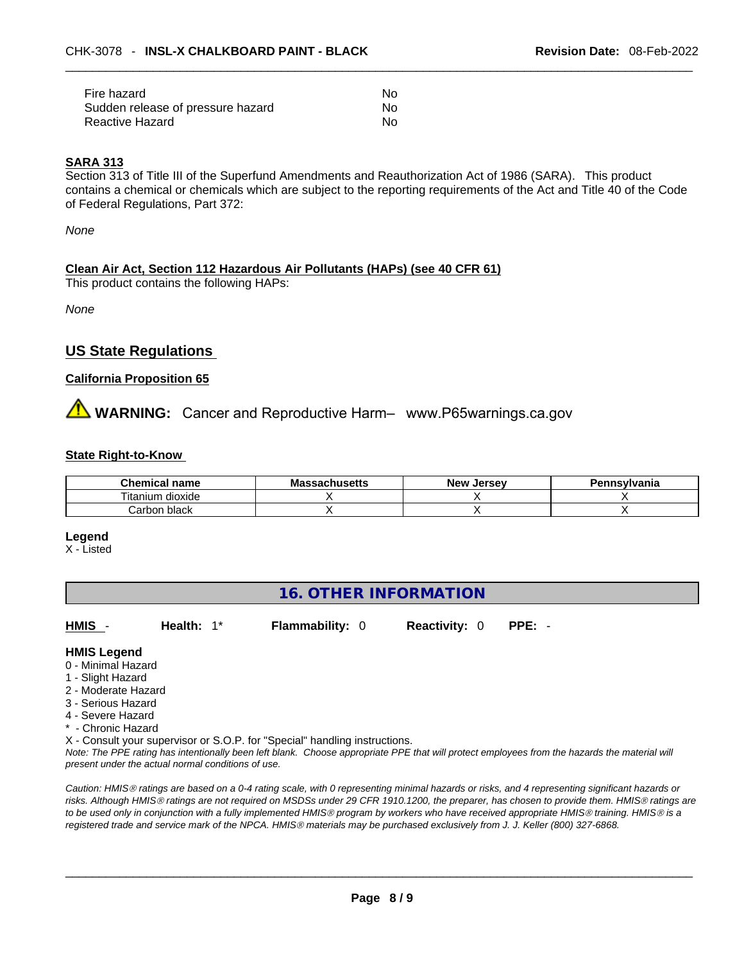| Fire hazard                       | No. |
|-----------------------------------|-----|
| Sudden release of pressure hazard | No. |
| Reactive Hazard                   | No. |

#### **SARA 313**

Section 313 of Title III of the Superfund Amendments and Reauthorization Act of 1986 (SARA). This product contains a chemical or chemicals which are subject to the reporting requirements of the Act and Title 40 of the Code of Federal Regulations, Part 372:

*None*

# **Clean Air Act,Section 112 Hazardous Air Pollutants (HAPs) (see 40 CFR 61)**

This product contains the following HAPs:

*None*

# **US State Regulations**

# **California Proposition 65**

# **WARNING:** Cancer and Reproductive Harm– www.P65warnings.ca.gov

## **State Right-to-Know**

| Chemical<br>name                        | chusetts | New<br><b>Jersev</b> | Pennsylvania |
|-----------------------------------------|----------|----------------------|--------------|
| <br>$- \cdot$ .<br>dioxide<br>I itanium |          |                      |              |
| black<br>Carbon                         |          |                      |              |

**Legend**

X - Listed

# **16. OTHER INFORMATION**

**HMIS** - **Health:** 1\* **Flammability:** 0 **Reactivity:** 0 **PPE:** -

#### **HMIS Legend**

- 0 Minimal Hazard
- 1 Slight Hazard
- 2 Moderate Hazard
- 3 Serious Hazard
- 4 Severe Hazard
- \* Chronic Hazard

X - Consult your supervisor or S.O.P. for "Special" handling instructions.

Note: The PPE rating has intentionally been left blank. Choose appropriate PPE that will protect employees from the hazards the material will *present under the actual normal conditions of use.* 

*Caution: HMISÒ ratings are based on a 0-4 rating scale, with 0 representing minimal hazards or risks, and 4 representing significant hazards or risks. Although HMISÒ ratings are not required on MSDSs under 29 CFR 1910.1200, the preparer, has chosen to provide them. HMISÒ ratings are to be used only in conjunction with a fully implemented HMISÒ program by workers who have received appropriate HMISÒ training. HMISÒ is a registered trade and service mark of the NPCA. HMISÒ materials may be purchased exclusively from J. J. Keller (800) 327-6868.*